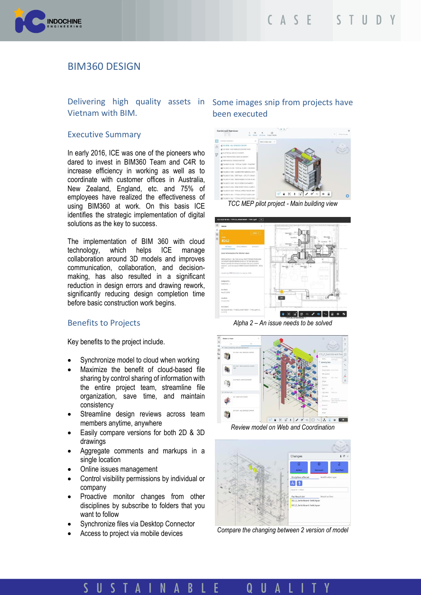

# BIM360 DESIGN

# Vietnam with BIM.

#### Executive Summary

In early 2016, ICE was one of the pioneers who dared to invest in BIM360 Team and C4R to increase efficiency in working as well as to coordinate with customer offices in Australia, New Zealand, England, etc. and 75% of employees have realized the effectiveness of using BIM360 at work. On this basis ICE identifies the strategic implementation of digital solutions as the key to success.

The implementation of BIM 360 with cloud technology, which helps ICE manage collaboration around 3D models and improves communication, collaboration, and decisionmaking, has also resulted in a significant reduction in design errors and drawing rework, significantly reducing design completion time before basic construction work begins.

## Benefits to Projects

Key benefits to the project include.

- Synchronize model to cloud when working
- Maximize the benefit of cloud-based file sharing by control sharing of information with the entire project team, streamline file organization, save time, and maintain consistency
- Streamline design reviews across team members anytime, anywhere
- Easily compare versions for both 2D & 3D drawings
- Aggregate comments and markups in a single location
- Online issues management
- Control visibility permissions by individual or company
- Proactive monitor changes from other disciplines by subscribe to folders that you want to follow

 $\mathbf{\Lambda}$ 

N A B

- Synchronize files via Desktop Connector
- Access to project via mobile devices

II

-S T

# Delivering high quality assets in Some images snip from projects have been executed



*TCC MEP pilot project - Main building view*



*Alpha 2 – An issue needs to be solved*



*Review model on Web and Coordination*



*Compare the changing between 2 version of model*

0 Ш Α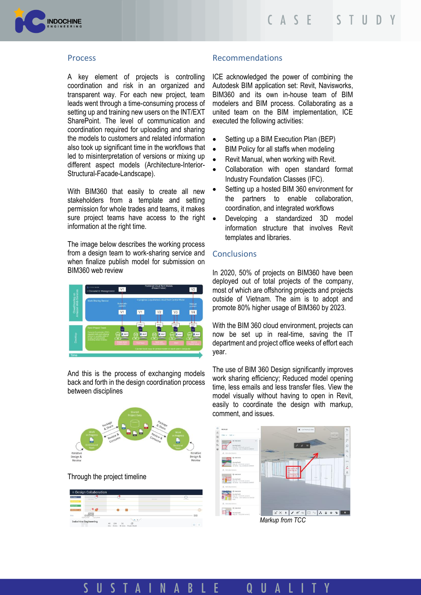

## Process

A key element of projects is controlling coordination and risk in an organized and transparent way. For each new project, team leads went through a time-consuming process of setting up and training new users on the INT/EXT SharePoint. The level of communication and coordination required for uploading and sharing the models to customers and related information also took up significant time in the workflows that led to misinterpretation of versions or mixing up different aspect models (Architecture-Interior-Structural-Facade-Landscape).

With BIM360 that easily to create all new stakeholders from a template and setting permission for whole trades and teams, it makes sure project teams have access to the right  $\bullet$ information at the right time.

The image below describes the working process from a design team to work-sharing service and when finalize publish model for submission on BIM360 web review



And this is the process of exchanging models back and forth in the design coordination process between disciplines



#### Through the project timeline



## Recommendations

ICE acknowledged the power of combining the Autodesk BIM application set: Revit, Navisworks, BIM360 and its own in-house team of BIM modelers and BIM process. Collaborating as a united team on the BIM implementation, ICE executed the following activities:

- Setting up a BIM Execution Plan (BEP)
- BIM Policy for all staffs when modeling
- Revit Manual, when working with Revit.
- Collaboration with open standard format Industry Foundation Classes (IFC).
- Setting up a hosted BIM 360 environment for the partners to enable collaboration, coordination, and integrated workflows
- Developing a standardized 3D model information structure that involves Revit templates and libraries.

## **Conclusions**

In 2020, 50% of projects on BIM360 have been deployed out of total projects of the company, most of which are offshoring projects and projects outside of Vietnam. The aim is to adopt and promote 80% higher usage of BIM360 by 2023.

With the BIM 360 cloud environment, projects can now be set up in real-time, saving the IT department and project office weeks of effort each year.

The use of BIM 360 Design significantly improves work sharing efficiency; Reduced model opening time, less emails and less transfer files. View the model visually without having to open in Revit, easily to coordinate the design with markup, comment, and issues.



*Markup from TCC*

STAIN  $\mathsf{U}$ E  $\mathsf{U}$ A B A O